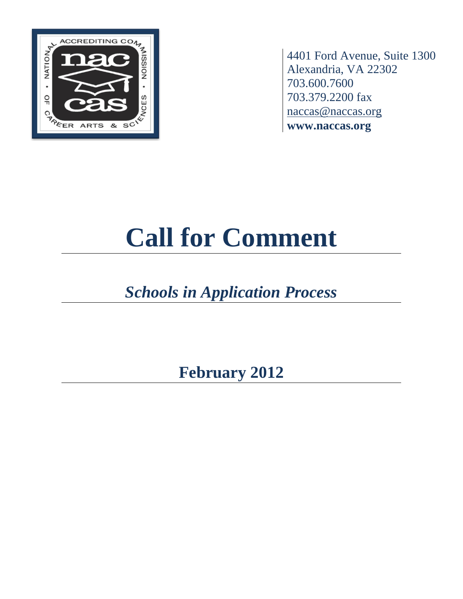

4401 Ford Avenue, Suite 1300 Alexandria, VA 22302 703.600.7600 703.379.2200 fax [naccas@naccas.org](mailto:naccas@naccas.org) **www.naccas.org**

# **Call for Comment**

## *Schools in Application Process*

**February 2012**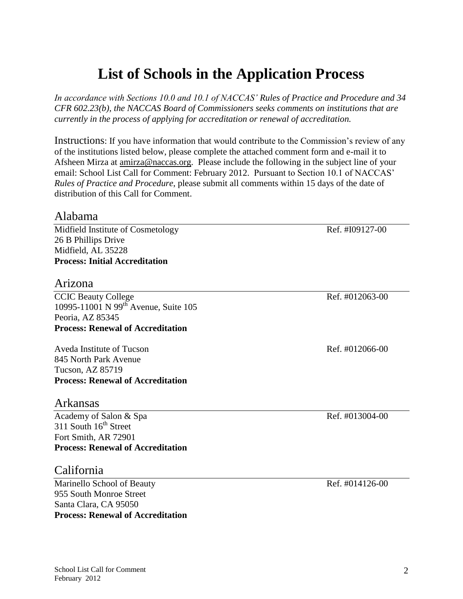## **List of Schools in the Application Process**

*In accordance with Sections 10.0 and 10.1 of NACCAS' Rules of Practice and Procedure and 34 CFR 602.23(b), the NACCAS Board of Commissioners seeks comments on institutions that are currently in the process of applying for accreditation or renewal of accreditation.*

Instructions: If you have information that would contribute to the Commission's review of any of the institutions listed below, please complete the attached comment form and e-mail it to Afsheen Mirza at [amirza@naccas.org.](mailto:amirza@naccas.org) Please include the following in the subject line of your email: School List Call for Comment: February 2012. Pursuant to Section 10.1 of NACCAS' *Rules of Practice and Procedure*, please submit all comments within 15 days of the date of distribution of this Call for Comment.

#### Alabama

Midfield Institute of Cosmetology Ref. #I09127-00 26 B Phillips Drive Midfield, AL 35228 **Process: Initial Accreditation**

#### Arizona

CCIC Beauty College Ref. #012063-00 10995-11001 N 99th Avenue, Suite 105 Peoria, AZ 85345 **Process: Renewal of Accreditation**

Aveda Institute of Tucson Aveda Institute of Tucson Ref. #012066-00 845 North Park Avenue Tucson, AZ 85719 **Process: Renewal of Accreditation**

#### Arkansas

Academy of Salon & Spa Ref. #013004-00 311 South 16<sup>th</sup> Street Fort Smith, AR 72901 **Process: Renewal of Accreditation**

#### California

Marinello School of Beauty Ref. #014126-00 955 South Monroe Street Santa Clara, CA 95050 **Process: Renewal of Accreditation**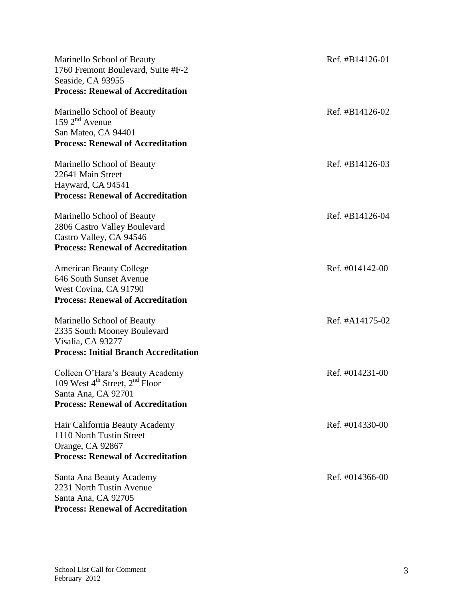| Marinello School of Beauty<br>1760 Fremont Boulevard, Suite #F-2<br>Seaside, CA 93955<br><b>Process: Renewal of Accreditation</b>                            | Ref. #B14126-01 |
|--------------------------------------------------------------------------------------------------------------------------------------------------------------|-----------------|
| Marinello School of Beauty<br>159 $2nd$ Avenue<br>San Mateo, CA 94401<br><b>Process: Renewal of Accreditation</b>                                            | Ref. #B14126-02 |
| Marinello School of Beauty<br>22641 Main Street<br>Hayward, CA 94541<br><b>Process: Renewal of Accreditation</b>                                             | Ref. #B14126-03 |
| Marinello School of Beauty<br>2806 Castro Valley Boulevard<br>Castro Valley, CA 94546<br><b>Process: Renewal of Accreditation</b>                            | Ref. #B14126-04 |
| <b>American Beauty College</b><br>646 South Sunset Avenue<br>West Covina, CA 91790<br><b>Process: Renewal of Accreditation</b>                               | Ref. #014142-00 |
| Marinello School of Beauty<br>2335 South Mooney Boulevard<br>Visalia, CA 93277<br><b>Process: Initial Branch Accreditation</b>                               | Ref. #A14175-02 |
| Colleen O'Hara's Beauty Academy<br>109 West $4^{\text{th}}$ Street, $2^{\text{nd}}$ Floor<br>Santa Ana, CA 92701<br><b>Process: Renewal of Accreditation</b> | Ref. #014231-00 |
| Hair California Beauty Academy<br>1110 North Tustin Street<br>Orange, CA 92867<br><b>Process: Renewal of Accreditation</b>                                   | Ref. #014330-00 |
| Santa Ana Beauty Academy<br>2231 North Tustin Avenue<br>Santa Ana, CA 92705<br><b>Process: Renewal of Accreditation</b>                                      | Ref. #014366-00 |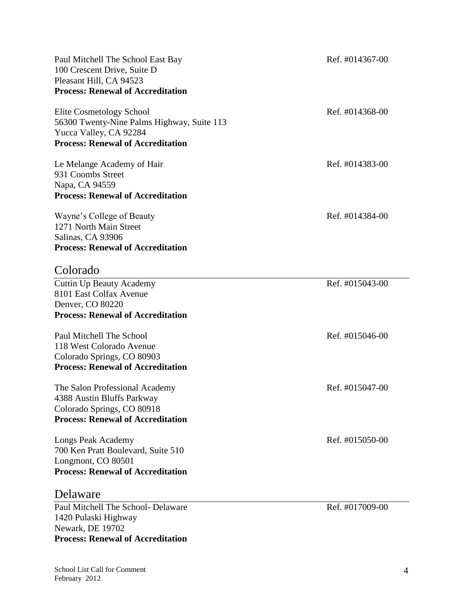| Paul Mitchell The School East Bay<br>100 Crescent Drive, Suite D<br>Pleasant Hill, CA 94523<br><b>Process: Renewal of Accreditation</b>      | Ref. #014367-00 |
|----------------------------------------------------------------------------------------------------------------------------------------------|-----------------|
| Elite Cosmetology School<br>56300 Twenty-Nine Palms Highway, Suite 113<br>Yucca Valley, CA 92284<br><b>Process: Renewal of Accreditation</b> | Ref. #014368-00 |
| Le Melange Academy of Hair<br>931 Coombs Street<br>Napa, CA 94559<br><b>Process: Renewal of Accreditation</b>                                | Ref. #014383-00 |
| Wayne's College of Beauty<br>1271 North Main Street<br>Salinas, CA 93906<br><b>Process: Renewal of Accreditation</b>                         | Ref. #014384-00 |
| Colorado                                                                                                                                     |                 |
| <b>Cuttin Up Beauty Academy</b><br>8101 East Colfax Avenue<br>Denver, CO 80220<br><b>Process: Renewal of Accreditation</b>                   | Ref. #015043-00 |
| Paul Mitchell The School<br>118 West Colorado Avenue<br>Colorado Springs, CO 80903<br><b>Process: Renewal of Accreditation</b>               | Ref. #015046-00 |
| The Salon Professional Academy<br>4388 Austin Bluffs Parkway<br>Colorado Springs, CO 80918<br><b>Process: Renewal of Accreditation</b>       | Ref. #015047-00 |
| Longs Peak Academy<br>700 Ken Pratt Boulevard, Suite 510<br>Longmont, CO 80501<br><b>Process: Renewal of Accreditation</b>                   | Ref. #015050-00 |
| Delaware<br>Paul Mitchell The School- Delaware<br>1420 Pulaski Highway<br>Newark, DE 19702<br><b>Process: Renewal of Accreditation</b>       | Ref. #017009-00 |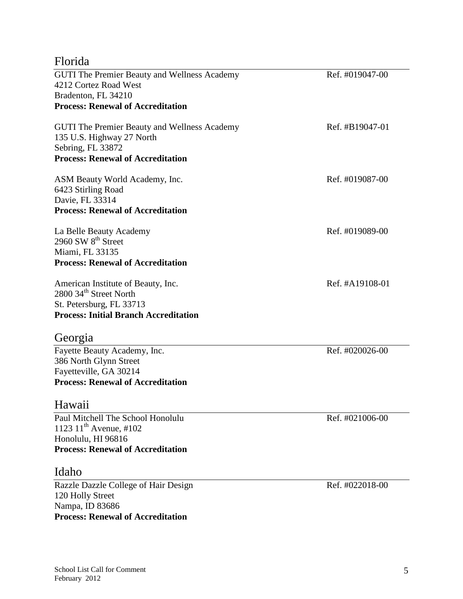| Florida                                             |                 |
|-----------------------------------------------------|-----------------|
| GUTI The Premier Beauty and Wellness Academy        | Ref. #019047-00 |
| 4212 Cortez Road West                               |                 |
| Bradenton, FL 34210                                 |                 |
| <b>Process: Renewal of Accreditation</b>            |                 |
| <b>GUTI The Premier Beauty and Wellness Academy</b> | Ref. #B19047-01 |
| 135 U.S. Highway 27 North                           |                 |
| Sebring, FL 33872                                   |                 |
| <b>Process: Renewal of Accreditation</b>            |                 |
| ASM Beauty World Academy, Inc.                      | Ref. #019087-00 |
| 6423 Stirling Road                                  |                 |
| Davie, FL 33314                                     |                 |
| <b>Process: Renewal of Accreditation</b>            |                 |
| La Belle Beauty Academy                             | Ref. #019089-00 |
| 2960 SW 8 <sup>th</sup> Street                      |                 |
| Miami, FL 33135                                     |                 |
| <b>Process: Renewal of Accreditation</b>            |                 |
| American Institute of Beauty, Inc.                  | Ref. #A19108-01 |
| 2800 34 <sup>th</sup> Street North                  |                 |
| St. Petersburg, FL 33713                            |                 |
| <b>Process: Initial Branch Accreditation</b>        |                 |
| Georgia                                             |                 |
| Fayette Beauty Academy, Inc.                        | Ref. #020026-00 |
| 386 North Glynn Street                              |                 |
| Fayetteville, GA 30214                              |                 |
| <b>Process: Renewal of Accreditation</b>            |                 |
| Hawaii                                              |                 |
| Paul Mitchell The School Honolulu                   | Ref. #021006-00 |
| 1123 $11^{th}$ Avenue, #102                         |                 |
| Honolulu, HI 96816                                  |                 |
| <b>Process: Renewal of Accreditation</b>            |                 |
| Idaho                                               |                 |
| Razzle Dazzle College of Hair Design                | Ref. #022018-00 |
| 120 Holly Street                                    |                 |
| Nampa, ID 83686                                     |                 |
| <b>Process: Renewal of Accreditation</b>            |                 |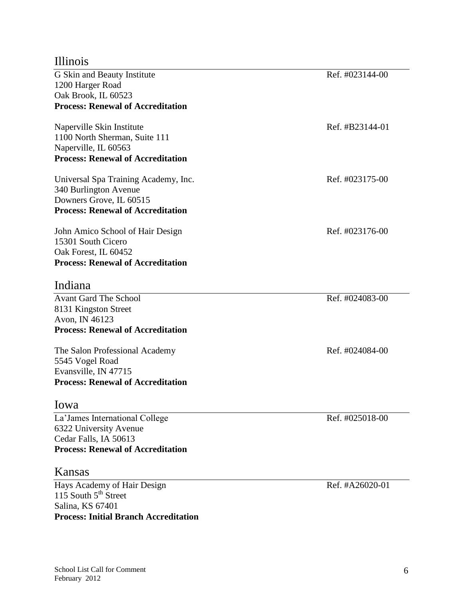#### Illinois

| G Skin and Beauty Institute              | Ref. #023144-00 |
|------------------------------------------|-----------------|
| 1200 Harger Road                         |                 |
| Oak Brook, IL 60523                      |                 |
| <b>Process: Renewal of Accreditation</b> |                 |
| Naperville Skin Institute                | Ref. #B23144-01 |
| 1100 North Sherman, Suite 111            |                 |
| Naperville, IL 60563                     |                 |
| <b>Process: Renewal of Accreditation</b> |                 |
| Universal Spa Training Academy, Inc.     | Ref. #023175-00 |
| 340 Burlington Avenue                    |                 |
| Downers Grove, IL 60515                  |                 |
| <b>Process: Renewal of Accreditation</b> |                 |
| John Amico School of Hair Design         | Ref. #023176-00 |
| 15301 South Cicero                       |                 |
| Oak Forest, IL 60452                     |                 |
| <b>Process: Renewal of Accreditation</b> |                 |
| Indiana                                  |                 |
| <b>Avant Gard The School</b>             | Ref. #024083-00 |
| 8131 Kingston Street                     |                 |
| Avon, IN 46123                           |                 |
| <b>Process: Renewal of Accreditation</b> |                 |
| The Salon Professional Academy           | Ref. #024084-00 |
| 5545 Vogel Road                          |                 |
| Evansville, IN 47715                     |                 |
| <b>Process: Renewal of Accreditation</b> |                 |
| lowa                                     |                 |
| La'James International College           | Ref. #025018-00 |
| 6322 University Avenue                   |                 |
| Cedar Falls, IA 50613                    |                 |
| <b>Process: Renewal of Accreditation</b> |                 |
| Kansas                                   |                 |
| Hays Academy of Hair Design              | Ref. #A26020-01 |
| 115 South 5 <sup>th</sup> Street         |                 |

**Process: Initial Branch Accreditation**

Salina, KS 67401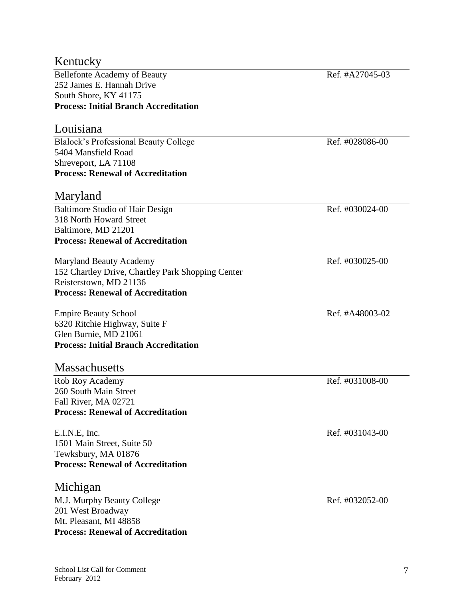#### Kentucky

Bellefonte Academy of Beauty Ref. #A27045-03 252 James E. Hannah Drive South Shore, KY 41175 **Process: Initial Branch Accreditation**

#### Louisiana

Blalock's Professional Beauty College Ref. #028086-00 5404 Mansfield Road Shreveport, LA 71108 **Process: Renewal of Accreditation**

#### Maryland

Baltimore Studio of Hair Design Ref. #030024-00 318 North Howard Street Baltimore, MD 21201 **Process: Renewal of Accreditation**

Maryland Beauty Academy **Ref.** #030025-00 152 Chartley Drive, Chartley Park Shopping Center Reisterstown, MD 21136 **Process: Renewal of Accreditation**

Empire Beauty School Ref. #A48003-02 6320 Ritchie Highway, Suite F Glen Burnie, MD 21061 **Process: Initial Branch Accreditation**

#### **Massachusetts**

Rob Roy Academy Ref. #031008-00 260 South Main Street Fall River, MA 02721 **Process: Renewal of Accreditation**

E.I.N.E. Inc. Ref. #031043-00 1501 Main Street, Suite 50 Tewksbury, MA 01876 **Process: Renewal of Accreditation**

#### Michigan

M.J. Murphy Beauty College Ref. #032052-00 201 West Broadway Mt. Pleasant, MI 48858 **Process: Renewal of Accreditation**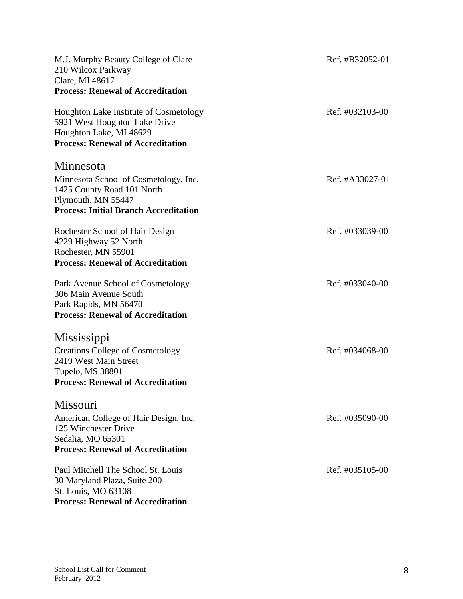| M.J. Murphy Beauty College of Clare<br>210 Wilcox Parkway<br>Clare, MI 48617<br><b>Process: Renewal of Accreditation</b>                       | Ref. #B32052-01 |
|------------------------------------------------------------------------------------------------------------------------------------------------|-----------------|
| Houghton Lake Institute of Cosmetology<br>5921 West Houghton Lake Drive<br>Houghton Lake, MI 48629<br><b>Process: Renewal of Accreditation</b> | Ref. #032103-00 |
| Minnesota                                                                                                                                      |                 |
| Minnesota School of Cosmetology, Inc.<br>1425 County Road 101 North<br>Plymouth, MN 55447<br><b>Process: Initial Branch Accreditation</b>      | Ref. #A33027-01 |
| Rochester School of Hair Design<br>4229 Highway 52 North<br>Rochester, MN 55901<br><b>Process: Renewal of Accreditation</b>                    | Ref. #033039-00 |
| Park Avenue School of Cosmetology<br>306 Main Avenue South<br>Park Rapids, MN 56470<br><b>Process: Renewal of Accreditation</b>                | Ref. #033040-00 |
| Mississippi                                                                                                                                    |                 |
| <b>Creations College of Cosmetology</b><br>2419 West Main Street<br>Tupelo, MS 38801<br><b>Process: Renewal of Accreditation</b>               | Ref. #034068-00 |
| Missouri                                                                                                                                       |                 |
| American College of Hair Design, Inc.<br>125 Winchester Drive<br>Sedalia, MO 65301<br><b>Process: Renewal of Accreditation</b>                 | Ref. #035090-00 |
| Paul Mitchell The School St. Louis<br>30 Maryland Plaza, Suite 200<br>St. Louis, MO 63108<br><b>Process: Renewal of Accreditation</b>          | Ref. #035105-00 |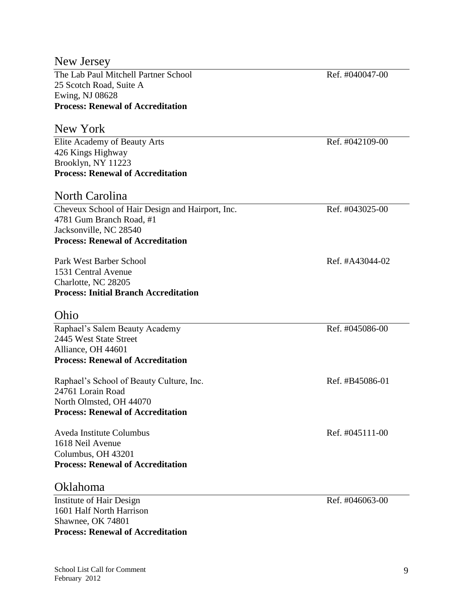**Process: Renewal of Accreditation**

New Jersey

| The Lab Paul Mitchell Partner School<br>25 Scotch Road, Suite A    | Ref. #040047-00 |
|--------------------------------------------------------------------|-----------------|
| Ewing, NJ 08628                                                    |                 |
| <b>Process: Renewal of Accreditation</b>                           |                 |
| New York                                                           |                 |
| Elite Academy of Beauty Arts                                       | Ref. #042109-00 |
| 426 Kings Highway<br>Brooklyn, NY 11223                            |                 |
| <b>Process: Renewal of Accreditation</b>                           |                 |
|                                                                    |                 |
| North Carolina                                                     |                 |
| Cheveux School of Hair Design and Hairport, Inc.                   | Ref. #043025-00 |
| 4781 Gum Branch Road, #1                                           |                 |
| Jacksonville, NC 28540<br><b>Process: Renewal of Accreditation</b> |                 |
|                                                                    |                 |
| Park West Barber School                                            | Ref. #A43044-02 |
| 1531 Central Avenue                                                |                 |
| Charlotte, NC 28205                                                |                 |
| <b>Process: Initial Branch Accreditation</b>                       |                 |
| Ohio                                                               |                 |
| Raphael's Salem Beauty Academy                                     | Ref. #045086-00 |
| 2445 West State Street                                             |                 |
| Alliance, OH 44601                                                 |                 |
| <b>Process: Renewal of Accreditation</b>                           |                 |
| Raphael's School of Beauty Culture, Inc.                           | Ref. #B45086-01 |
| 24761 Lorain Road                                                  |                 |
| North Olmsted, OH 44070                                            |                 |
| <b>Process: Renewal of Accreditation</b>                           |                 |
| Aveda Institute Columbus                                           | Ref. #045111-00 |
| 1618 Neil Avenue                                                   |                 |
| Columbus, OH 43201                                                 |                 |
| <b>Process: Renewal of Accreditation</b>                           |                 |
| <b>Oklahoma</b>                                                    |                 |
| Institute of Hair Design                                           | Ref. #046063-00 |
| 1601 Half North Harrison                                           |                 |
| Shawnee, OK 74801                                                  |                 |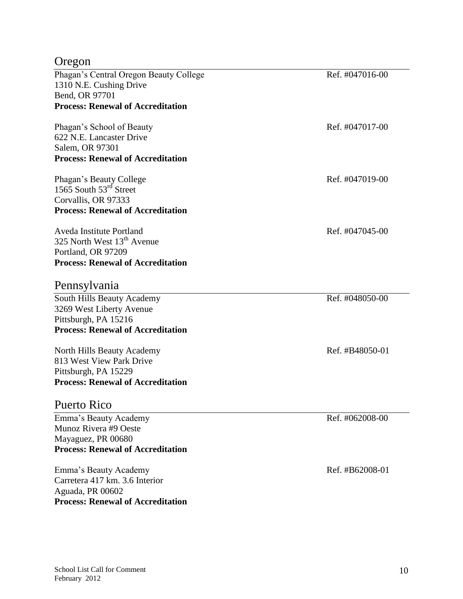### Oregon

| Phagan's Central Oregon Beauty College   | Ref. #047016-00 |
|------------------------------------------|-----------------|
| 1310 N.E. Cushing Drive                  |                 |
| Bend, OR 97701                           |                 |
| <b>Process: Renewal of Accreditation</b> |                 |
| Phagan's School of Beauty                | Ref. #047017-00 |
| 622 N.E. Lancaster Drive                 |                 |
| Salem, OR 97301                          |                 |
| <b>Process: Renewal of Accreditation</b> |                 |
| Phagan's Beauty College                  | Ref. #047019-00 |
| 1565 South 53 <sup>rd</sup> Street       |                 |
| Corvallis, OR 97333                      |                 |
| <b>Process: Renewal of Accreditation</b> |                 |
| Aveda Institute Portland                 | Ref. #047045-00 |
| 325 North West 13 <sup>th</sup> Avenue   |                 |
| Portland, OR 97209                       |                 |
| <b>Process: Renewal of Accreditation</b> |                 |
| Pennsylvania                             |                 |
| South Hills Beauty Academy               | Ref. #048050-00 |
| 3269 West Liberty Avenue                 |                 |
| Pittsburgh, PA 15216                     |                 |
| <b>Process: Renewal of Accreditation</b> |                 |
| North Hills Beauty Academy               | Ref. #B48050-01 |
| 813 West View Park Drive                 |                 |
| Pittsburgh, PA 15229                     |                 |
| <b>Process: Renewal of Accreditation</b> |                 |
| Puerto Rico                              |                 |
| Emma's Beauty Academy                    | Ref. #062008-00 |
| Munoz Rivera #9 Oeste                    |                 |
| Mayaguez, PR 00680                       |                 |
| <b>Process: Renewal of Accreditation</b> |                 |
| Emma's Beauty Academy                    | Ref. #B62008-01 |
| Carretera 417 km. 3.6 Interior           |                 |
| Aguada, PR 00602                         |                 |
| <b>Process: Renewal of Accreditation</b> |                 |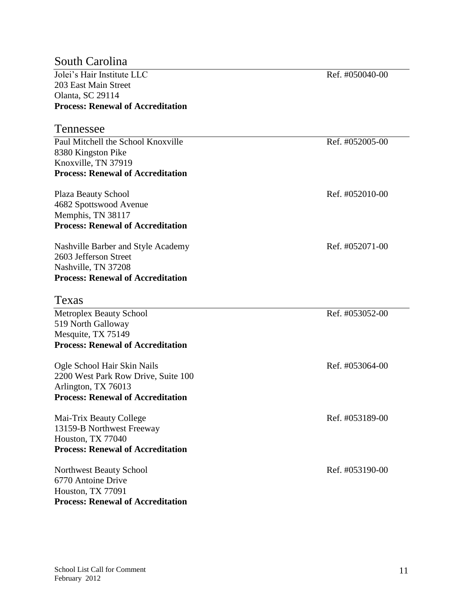#### South Carolina

| <b>Process: Renewal of Accreditation</b> |
|------------------------------------------|
| Olanta, SC 29114                         |
| 203 East Main Street                     |
| Jolei's Hair Institute LLC               |

#### Tennessee

Paul Mitchell the School Knoxville Ref. #052005-00 8380 Kingston Pike Knoxville, TN 37919 **Process: Renewal of Accreditation**

Plaza Beauty School Ref. #052010-00 4682 Spottswood Avenue Memphis, TN 38117 **Process: Renewal of Accreditation**

Nashville Barber and Style Academy Ref. #052071-00 2603 Jefferson Street Nashville, TN 37208 **Process: Renewal of Accreditation**

#### Texas

Metroplex Beauty School Ref. #053052-00 519 North Galloway Mesquite, TX 75149 **Process: Renewal of Accreditation**

Ogle School Hair Skin Nails Ref. #053064-00 2200 West Park Row Drive, Suite 100 Arlington, TX 76013 **Process: Renewal of Accreditation**

Mai-Trix Beauty College Ref. #053189-00 13159-B Northwest Freeway Houston, TX 77040 **Process: Renewal of Accreditation**

Northwest Beauty School Ref. #053190-00 6770 Antoine Drive Houston, TX 77091 **Process: Renewal of Accreditation**

Ref. #050040-00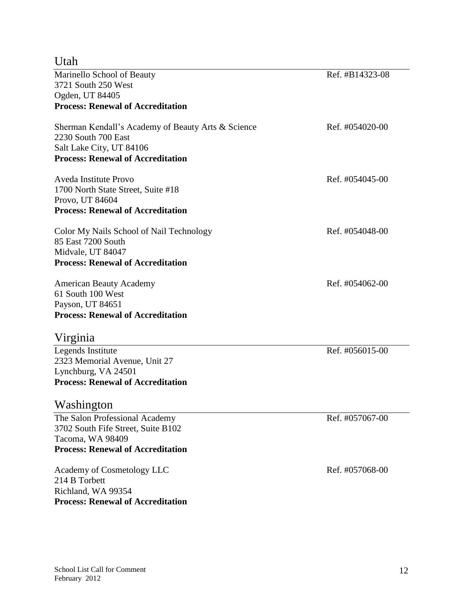Utah

| Marinello School of Beauty                         | Ref. #B14323-08 |
|----------------------------------------------------|-----------------|
| 3721 South 250 West                                |                 |
| Ogden, UT 84405                                    |                 |
| <b>Process: Renewal of Accreditation</b>           |                 |
| Sherman Kendall's Academy of Beauty Arts & Science | Ref. #054020-00 |
| 2230 South 700 East                                |                 |
| Salt Lake City, UT 84106                           |                 |
| <b>Process: Renewal of Accreditation</b>           |                 |
| Aveda Institute Provo                              | Ref. #054045-00 |
| 1700 North State Street, Suite #18                 |                 |
| Provo, UT 84604                                    |                 |
| <b>Process: Renewal of Accreditation</b>           |                 |
| Color My Nails School of Nail Technology           | Ref. #054048-00 |
| 85 East 7200 South                                 |                 |
| Midvale, UT 84047                                  |                 |
| <b>Process: Renewal of Accreditation</b>           |                 |
| <b>American Beauty Academy</b>                     | Ref. #054062-00 |
| 61 South 100 West                                  |                 |
| Payson, UT 84651                                   |                 |
| <b>Process: Renewal of Accreditation</b>           |                 |
| Virginia                                           |                 |
| Legends Institute                                  | Ref. #056015-00 |
| 2323 Memorial Avenue, Unit 27                      |                 |
| Lynchburg, VA 24501                                |                 |
| <b>Process: Renewal of Accreditation</b>           |                 |
| Washington                                         |                 |
| The Salon Professional Academy                     | Ref. #057067-00 |
| 3702 South Fife Street, Suite B102                 |                 |
| Tacoma, WA 98409                                   |                 |
| <b>Process: Renewal of Accreditation</b>           |                 |
| Academy of Cosmetology LLC                         | Ref. #057068-00 |
| 214 B Torbett                                      |                 |
| Richland, WA 99354                                 |                 |
| <b>Process: Renewal of Accreditation</b>           |                 |
|                                                    |                 |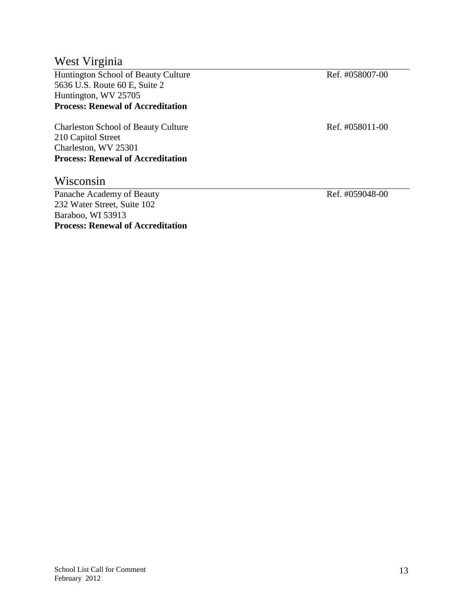#### West Virginia

Huntington School of Beauty Culture Ref. #058007-00 5636 U.S. Route 60 E, Suite 2 Huntington, WV 25705 **Process: Renewal of Accreditation**

Charleston School of Beauty Culture Ref. #058011-00 210 Capitol Street Charleston, WV 25301 **Process: Renewal of Accreditation**

#### Wisconsin

Panache Academy of Beauty Ref. #059048-00 232 Water Street, Suite 102 Baraboo, WI 53913 **Process: Renewal of Accreditation**